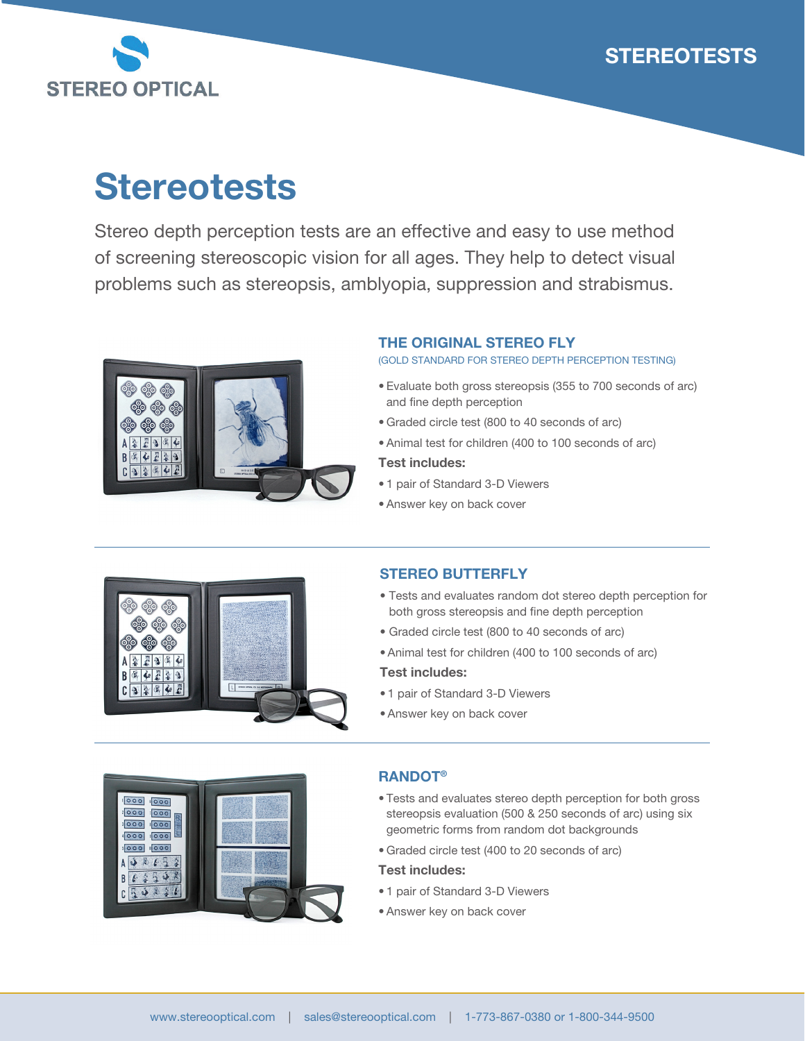



# **Stereotests**

Stereo depth perception tests are an effective and easy to use method of screening stereoscopic vision for all ages. They help to detect visual problems such as stereopsis, amblyopia, suppression and strabismus.



# THE ORIGINAL STEREO FLY

(GOLD STANDARD FOR STEREO DEPTH PERCEPTION TESTING)

- Evaluate both gross stereopsis (355 to 700 seconds of arc) and fine depth perception
- Graded circle test (800 to 40 seconds of arc)
- Animal test for children (400 to 100 seconds of arc)

### Test includes:

- 1 pair of Standard 3-D Viewers
- Answer key on back cover



### STEREO BUTTERFLY

- Tests and evaluates random dot stereo depth perception for both gross stereopsis and fine depth perception
- Graded circle test (800 to 40 seconds of arc)
- Animal test for children (400 to 100 seconds of arc)

### Test includes:

- 1 pair of Standard 3-D Viewers
- Answer key on back cover



# RANDOT®

- Tests and evaluates stereo depth perception for both gross stereopsis evaluation (500 & 250 seconds of arc) using six geometric forms from random dot backgrounds
- Graded circle test (400 to 20 seconds of arc)

### Test includes:

- 1 pair of Standard 3-D Viewers
- Answer key on back cover